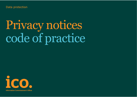Data protection

# Privacy notices code of practice

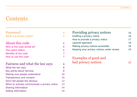## **Contents**

| Foreword                                      | 4              |
|-----------------------------------------------|----------------|
| What is a privacy notice?                     | 5              |
| About this code                               | 6              |
| Who is this code aimed at?                    | 6              |
| The code's status                             | 6              |
| Benefits of the code                          | 7              |
| How to use this code                          | $\overline{7}$ |
| Fairness and what the law says                | 8              |
| What the law says                             | 8              |
| Key points about fairness                     | 8              |
| Making sure people understand                 | 10             |
| Transparency and consent                      | 10             |
| Don't tell people the obvious                 | 12             |
| When to actively communicate a privacy notice | 13             |
| <b>Sharing information</b>                    | 14             |
| Selling information                           | 14             |

| Providing privacy notices                 | 16. |
|-------------------------------------------|-----|
| Drafting a privacy notice                 | 16  |
| How to provide a privacy notice           | 17  |
| Layered approach                          | 18  |
| Making privacy notices accessible         | 18  |
| Keeping your privacy notices under review | 1 Q |
|                                           |     |

Examples of good and bad privacy notices 20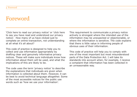## Foreword

'Click here to read our privacy notice' or 'click here to say you have read and understood our privacy notice'. How many of us have clicked just to complete an online transaction, not understanding at all what it's all about?

This code of practice is designed to help you to collect and use information appropriately by drafting clear and genuinely informative privacy notices. These will make sure individuals know how information about them will be used, and what the implications of this are likely to be.

The code uses the term 'privacy notice' to describe the explanations that individuals are given when information is collected about them. However, it can be best to avoid technical language altogether. Some of the most accessible notices for the public use words such as `how we use your information'.

This requirement to communicate a privacy notice actively is strongest where the intended use of the information may be unexpected or objectionable, or where the information is sensitive. The code explains that there is little value in informing people of obvious uses of their information.

This code of practice will help you to comply with one of the most important but most misunderstood parts of the Data Protection Act. I will take its standards into account when, for example, I receive a complaint that information has been collected in an unreasonable way.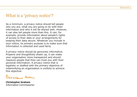## What is a 'privacy notice'?

As a minimum, a privacy notice should tell people who you are, what you are going to do with their information and who it will be shared with. However, it can also tell people more than this. It can, for example, provide information about people's rights of access to their data or your arrangements for keeping their data secure. Whatever you include in your notice, its primary purpose is to make sure that information is collected and used fairly.

A privacy notice should be genuinely informative. Properly and thoughtfully drawn up, it can make your organisation more transparent and should reassure people that they can trust you with their personal information. A privacy notice that is legalistic or drafted with the primary objective of indemnifying an organisation is unlikely to achieve this objective.

Curinomy Galer

**Christopher Graham**  Information Commissioner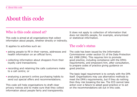# About this code

## Who is this code aimed at?

This code is aimed at all organisations that collect information about people, whether directly or indirectly.

It applies to activities such as:

- asking people to fill in their names, addresses and health information on an official form;
- collecting information about shoppers from their loyalty card transactions;
- recording and retaining the calls customers make to a call centre; or
- analysing a person's online purchasing habits to send out special offers and recommendations.

This code will help organisations to draft clear privacy notices and to make sure that they collect information about people fairly and transparently.

It does not apply to collection of information that does not identify people, for example, anonymised or statistical information.

#### The code's status

The code has been issued by the Information Commissioner under section 51 of the Data Protection Act 1998 (DPA). This requires him to promote good practice, including compliance with the DPA's requirements, and empowers him, after consultation, to prepare codes of practice giving guidance on good practice.

The basic legal requirement is to comply with the DPA itself. Organisations may use alternative methods to meet the DPA`s requirements, but if they do nothing then they risk breaking the law. The ICO cannot take action over a failure to adopt good practice or to act on the recommendations set out in this code.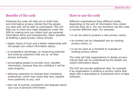#### Benefits of the code

Following the code will help you to draft clear and informative privacy notices that the people you deal with will be able to understand. This will help you to meet your legal obligations under the DPA by making sure you collect and use personal information fairly and transparently. Other benefits of drafting a good privacy notice include:

- higher levels of trust and a better relationship with the people you collect information about;
- a competitive advantage, by reassuring potential and existing customers that you ta ke their privacy seriously;
- encouraging people to provide more valuable information, because they are confident it will be used properly;
- allowing customers to indicate their marketing preferences, which may mean that they respond more positively to you; and
- less risk of queries, complaints and disputes about your use of personal information.

#### How to use the code

Different organisations have different needs, depending on the sort of information they collect and how they do it. You can therefore use this code in several different ways. For example:

- it can be used to produce a new privacy notice;
- its content can be integrated into an existing privacy notice; or
- < it can be used as a checklist to evaluate an existing privacy notice.

The code will help organisations to design privacy notices that can be understood by the people you collect information about.

The ICO will provide additional help, for example if an organisation is drafting a privacy notice that deals with a specialised or contentious form of data collection.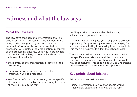# Fairness and what the law says

## What the law says

The law says that personal information shall be processed fairly – processing includes obtaining, using or disclosing it. It goes on to say that personal information is not to be treated as processed fairly unless the organisation in control of the processing ensures, so far as is practicable, that the individual has, is provided with, or has made readily available:

- the identity of the organisation in control of the processing;
- $\bullet$  the purpose, or purposes, for which the information will be processed;
- any further information necessary, in the specific circumstances, to enable the processing in respect of the individual to be fair.

Drafting a privacy notice is the obvious way to satisfy these legal requirements.

It is clear that the law gives you a degree of discretion in providing `fair processing information' - ranging from actively communicating it to making it readily available. This code will help you to adopt the right approach.

The law also makes it clear that you must consider the specific circumstances, and the individuals concerned. This means that there can be no single way of complying. This code helps you to understand the alternatives, and to adopt good practice.

#### Key points about fairness

Fairness has two main elements:

• using information in a way that people would reasonably expect and in a way that is fair;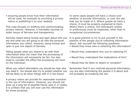. ensuring people know how their information will be used, for example by providing a privacy notice or publishing it on your website.

This code focuses on drafting and communicating privacy notices. However, it inevitably touches on wider issues of fairness and transparency.

Fairness means being honest and open about who you are and what you are going to do with the personal information you collect. However, being honest and open is just one aspect of fairness.

Telling people what you intend to do with their information does not mean that the processing of the information will necessarily be fair. You also need to consider the effect the processing will have on the individual.

When you collect information you should be clear why you need it. You should also try to predict whether you will be likely to do other things with it in the future.

A privacy notice can provide for reasonable evolution in the use of information. However, you should not draw up a long list of possible future uses if, in reality, it is unlikely that you will ever use the information for those purposes.

In some cases people will have a choice over whether to provide information, or over the use that can be made of it. Where people do have a choice, it must be properly explained to them. Where there is choice, the individual's wishes or preferences must be respected, other than in exceptional circumstances.

It is good practice to try to put yourself in the position of the people you're collecting information about. Ask yourself the following questions.

- Would they know who is collecting the information?
- Would they understand why you're collecting it?
- Would they understand the implications of this?
- Would they be likely to object or complain?

Remember that if you mistreat personal information, you are also mistreating the people it is about and will probably be breaking the law.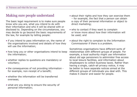## Making sure people understand

The basic legal requirement is to make sure people know who you are, what you intend to do with their information and who it will be shared with or disclosed to. Depending on the circumstances, you may decide to go beyond the basic requirements of the law, for example by telling people:

- if you intend to pass information on, the name of the organisations involved and details of how they will use the information;
- < how long you or other organisations intend to keep the information;
- < whether replies to questions are mandatory or voluntary;
- the consequences of not providing information for example, non-receipt of a benefit;
- whether the information will be transferred overseas;
- what are you doing to ensure the security of personal information;
- about their rights and how they can exercise them - for example, the fact that a person can obtain a copy of their personal information or object to direct marketing;
- who to contact if they want to complain or know more about how their information will be used; and
- about the right to complain to the Information Commissioner if there is a problem.

Sometimes organisations have different sorts of relationships with different groups of people. For example, a local authority might use information about old age pensioners to administer free access to local leisure facilities, and information about shopkeepers to collect business taxes. Rather than having a single, catch-all privacy notice, it may be better to have separate notices aimed at the different groups of individuals you deal with. This makes it clearer and easier for people.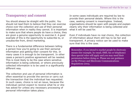## Transparency and consent

You should always be straight with the public. You should not lead them to believe that they can exercise choice over the collection and use of their personal information when in reality they cannot. It is important to make sure that where people do have a choice, they are given a genuine opportunity to exercise it. A good example of this is the opportunity to subscribe to, or unsubscribe from, direct marketing.

There is a fundamental difference between telling a person how you're going to use their personal information and getting their consent for this. In many cases it is enough to be transparent. In other cases a person's positive agreement will be needed. This is most likely to be the case where sensitive information is being collected, or where previously collected information is to be used in a significantly different way.

The collection and use of personal information is often essential to provide the service or carry out the transaction that the individual has requested. In such cases, choice is not an issue, because the individual cannot expect to receive what he or she has asked for unless any necessary processing of personal information takes place.

In some cases individuals are required by law to provide their personal details. Where this is the case, seeking consent is meaningless. Instead, organisations should be open with people and explain clearly why their information is being collected and what it will be used for.

Even if individuals have no real choice, the collection of information about them still has to be fair and transparent. A privacy notice can be used to make sure that this is the case.

Remember, if you intend to market people by electronic means (for example, by email, SMS, fax or telephone) then special rules will apply and you may need their permission before doing so. Please see our guidance on the Privacy and Electronic Communications Regulations 2003.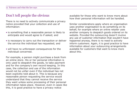## Don't tell people the obvious

There is no need to actively communicate a privacy notice provided that your collection and use of information:

- is something that a reasonable person is likely to anticipate and would agree to if asked; and
- < is necessary to carry out the transaction or deliver the service the individual has requested; and
- will have no unforeseen consequences for the individual concerned.

For example, a person might purchase a book from an online store. His or her personal information is only used to despatch the goods, to take payment and for the company's own record keeping. In this case, the collection and use of the information would not be unfair even if the individual has not been explicitly told about it. This is because any reasonable person requesting the service would understand that they cannot receive the service they want unless some processing of their personal information takes place. However, even in cases like this, it is good practice to have a privacy notice

available for those who want to know more about how their personal information will be handled.

Similar considerations apply where an organisation uses another organisation to do something on its behalf, for example where an online retailer uses another company to despatch goods ordered on its website. Provided the outsourcing doesn't involve any use of customer information that wouldn't have happened anyway, there is no need to actively inform customers. Again, it is good practice to have information about your outsourcing arrangements available for customers that want to know more about this.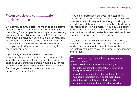## When to actively communicate a privacy notice

By 'actively communicate' we mean take a positive action to provide a privacy notice to a member of the public, for example, by sending a letter, reading out a script or distributing an email. This is different from having a privacy notice available for members of the public who want to see it. In such cases it is the individual who has to take the action, for example by clicking on a web link or asking for more information.

A good way to decide whether to actively communicate your notice is to try to understand what the person the information is about would expect. If you think the person would be surprised by your use of their personal information, or would find it objectionable in some way, you should actively tell them about it.

If you hold information that you collected for a specific purpose but now wish to use it in a new and unforeseen way, it may not be enough to simply provide an update about what you intend to do with the information. For example, if you have explicitly assured the individual that you will not share their information with third parties but now wish to do so, you should actively seek their consent.

It's a lot easier to actively communicate a privacy notice in an online context than in a 'bricks and mortar' one. You should make full use of the technology available to you to promote transparency and fairness.

The need to actively communicate a privacy notice is strongest where:

- $\bullet\,$  you are collecting sensitive information; or
- $\bullet\,$  the intended use of the information is likely to be  $\,$ unexpected or objectionable; or
- providing personal information, or failing to do so,  $\,$ will have a significant effect on the individual; or
- $\bullet\,$  the information will be shared with another  $\,$ organisation in a way that wouldn't be expected.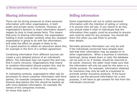## Sharing information

There can be strong pressures to share personal information with other organisations, in both public and private sector contexts. However, an organisation's decision to share information doesn't negate its duty to treat people fairly. This means that prior to sharing information, the organisation holding it must consider carefully what any recipient organisation is going to do with the information, and what the effect on people is likely to be. It is good practice to obtain an assurance about this, for example in the form of a written agreement.

Combining information from different sources can create a very detailed picture of an individual's affairs. The individual may not expect this and may find it overly intrusive. Organisations that intend to combine information should explain this, and its likely consequences, in their privacy notices.

In marketing contexts, organisations often ask for permission to share customer information with third parties, for example companies in the same group. General descriptions like this should be backed up with more detailed information, for example the names of the companies involved, for those that want it.

#### Selling information

Some organisations set out to collect personal information with the intention of selling or renting it to anyone who will pay. If you intend to do this, you should make it clear to individuals that the information they supply could be provided to anyone and could be used for any purpose. You should tell them this when you ask them to provide their details.

Normally personal information can only be sold if the individuals concerned have already been told that their information may be passed on to other organisations. When a business is insolvent, bankrupt, being closed down or sold, the database can be sold on or, if rented, should be returned to its owner. However, the seller must make sure that the information will only be used for the same or a similar purpose. For example, information obtained for insurance may only be sold to a business to promote similar insurance products. If the buyer wants to use the personal information for a new purpose, it will have to get consent for this from the individuals concerned.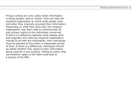Privacy notices are very useful when information is being bought, sold or rented. They can help the recipient organisation to check what people were told when they originally provided their information. Depending on what they were told, the recipient organisation may then need to communicate its own privacy notice to the individuals concerned. If there is a difference between what people were told originally and what the recipient organisation intends to do with the information, then individuals must be advised of this within a reasonable period of time. If there is a difference, individuals should be asked whether they agree to their information being used for a new purpose. Failing to check what 'permissions' apply to the data could lead to a breach of the DPA.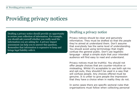# Providing privacy notices

Drafting a privacy notice should provide an opportunity to review your collection of information. For example, you should ask yourself whether you really need the information you are asking for. A privacy impact assessment can help you to answer this question. Remember that information is expensive to keep and brings legal liability with it.

## Drafting a privacy notice

Privacy notices should be clear and genuinely informative. They must be drafted so that the people they're aimed at understand them. Don't assume that everybody has the same level of understanding. You should avoid using terminology that might confuse the general public. Don't use legalistic language - adopt a simple style that your intended audience will find easy to read and understand.

Privacy notices must be truthful. You should not offer people choices that are counter-intuitive or misleading. Whilst it's acceptable to use both opt-ins and opt-outs, they shouldn't be used in a way that will confuse people. Any choices offered must be genuine. It is unfair to give people the impression that they have a choice when in reality they do not.

In some cases there are specific sectoral rules that organisations must follow when collecting personal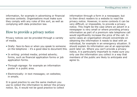information, for example in advertising or financial services contexts. Organisations must make sure they comply with any rules of this sort, as well as complying with data protection law.

## How to provide a privacy notice

Privacy notices can be provided through a variety of media.

- Orally: face-to-face or when you speak to someone on the telephone  $-$  it's a good idea to document this.
- In writing: printed media; printed adverts; forms, such as financial application forms or job application forms.
- Through signage: for example an information poster in a public area.
- Electronically: in text messages; on websites; in emails.

It is good practice to use the same medium you use to collect the information to deliver the privacy notice. So, it would not be good practice to collect

information through a form in a newspaper, but to then direct readers to a website to read the privacy notice. However, in some contexts it can be very difficult, or impossible, to provide a privacy notice. This might be the case where an advert in a newspaper is very small or where providing privacy information as part of a premium rate telephone call would significantly increase the price of the call. In some cases an organisation should concentrate on obtaining the information it needs to deal with an individual, for example in an emergency situation. It should explain its information use at an appropriate point later on. Where you can't provide a privacy notice, it is particularly important to make sure you only use the information you collect in a way that members of the public are likely to anticipate and agree to.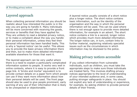## Layered approach

When collecting personal information you should be realistic about how interested the public is in the way you are going to handle it. Many individuals will be more concerned with receiving the goods, services or benefits that they have applied for. They are unlikely to read a detailed privacy notice, or to make a complaint about the way you handle their personal information, unless they feel their personal information has been handled badly. This is why a `layered notice' can be useful. This allows you to provide the basic privacy information there and then, but to make more detailed information available elsewhere for those that want it.

The layered approach can be very useful where there is a need to explain a particularly complicated information system to people. It works very well in online contexts, where it is easy to provide a front page link. A 'bricks and mortar' equivalent is to provide contact details on a paper form which people can use if they want more information about how their personal details will be used. The front page should also be used to give people prominent, early warning of any use of their information that is likely to be unexpected or objectionable.

A layered notice usually consists of a short notice plus a longer notice. The short notice contains basic information, such as the identity of the organisation and the way in which the personal information will be used. This can be used where there is not enough space to provide more detailed information, for example in an advert. The short notice contains a link to a second, longer notice which provides much more detailed information. The longer notice can, in turn, contain links to further material, explaining relatively specialist issues such as the circumstances in which information may be disclosed to the police.

### Making privacy notices accessible

If you collect information from vulnerable individuals, such as children, you must take the appropriate steps to make sure those individuals are treated fairly. This involves drafting privacy notices appropriate to the level of understanding of your intended audience and, in some cases, putting stronger safeguards in place. You should not exploit any lack of understanding or experience, for example, by asking children to provide personal details of their friends.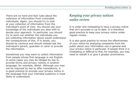There are no hard and fast rules about the collection of information from vulnerable individuals. Again, you should try to look at your collection of information from the individual's point of view. You should use your knowledge of the individuals you deal with to decide your approach. In particular, you should try to work out whether the individuals you are collecting information about would understand the consequences of this. If in doubt, you should be cautious and should instead ask the individual's parent, guardian or carer to provide the information.

Sometimes you may want to collect information from people whose first language is not English. In some cases you may be obliged by law to provide forms and privacy notices in another language, for example, Welsh. Although you may not be required by law to offer translations, it is good practice to provide your privacy notice in the language that your intended audience is most likely to understand.

### Keeping your privacy notices under review

It is unfair and misleading to have a privacy notice that isn't accurate or up to date. It is therefore good practice to keep your privacy notice under regular review.

It is also good practice to review the effectiveness of your notice by analysing complaints from the public about your information use in general and your privacy notice in particular. If people think it is misleading or difficult to find, for example, you may need to redraft it or give it greater prominence.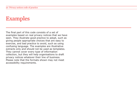# Examples

The final part of this code consists of a set of examples based on real privacy notices that we have seen. They illustrate good practice to adopt, such as giving people appropriate choices that are easy to exercise, and bad practice to avoid, such as using confusing language. The examples are illustrative extracts only and should not be used as templates. They cannot cover every type of information collection, but they will help organisations to draft privacy notices whatever their line of business. Please note that the formats shown may not meet accessibility requirements.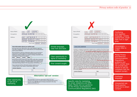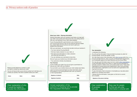#### **About your claim – Sharing information**

Sharing information with your landlord could help us to deal with your claim more quickly and reduce the risk of you falling behind with your rent because of your claim being delayed.

 $\sqrt{}$ 

If your Housing Benefit is paid directly to your landlord or to your Council rent account, then we can discuss payment details (e.g. award dates and amounts) as we have to give your landlord this information.

With your permission, we would also be able to tell your landlord if:

- You have claimed Housing Benefit
- We have made a decision on your claim, or
- We need more information to make a decision and what that information is.
- You can withdraw your permission at any time.
- We won't give your landlord any information about:
- Your personal or family circumstances

#### **Your finances**

It will not affect your claim if you do not give us permission to discuss your claim with your landlord.

If we can talk to your landlord about your claim please sign below.

I give my local council permission to share information about the progress of my Housing Benefit claim with my landlord or their representative.

| Signature of claimant: | Date: |
|------------------------|-------|
| Signature of partner:  | Date: |

Honest explanation of the outcome of choosing not to provide the requested information.

#### **Your declaration**

I understand the following:

You will use the information I have provided to process my claim for housing benefit, council tax benefit, or both.

You may check some of the information with other sources within the -Council, the Rent Service, other councils and Government departments,

 $\sqrt{}$ 

e.g. the Benefits Agency, the Inland Revenue and the Home Office.

You may also get information about me from certain other organisations, or give information about me to them to: make sure the information is accurate; prevent or detect crime; and protect public funds. These other organisations include government departments, other local authorities and private sector organisations such as banks and organisations that may lend me money.

If I give information that is incorrect or incomplete you may take action against me, including court action.

I declare that the information I have given on this form is correct and complete.

**Signature of the person claiming:**

Clear explanation of purpose l and use.

Easy way for people to find out who else information is shared with.

 $\sqrt{}$ 

Please provide telephone numbers in case we need to contact you about your claim.

You do not have to tell us your phone number but it will help us to contact you quickly if we have a question about your claim.

| Home: | Work: | Mobile: |
|-------|-------|---------|

Clear explanation of why it would be helpful to provide this information.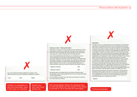# $\boldsymbol{X}$  Declaration

#### **About your claim – Sharing information**

Enabling us to share your personal data with your landlord and other third parties could help us to deal with your claim more quickly and reduce the risk of any delay with the processing of your claim which may cause you to fall into arrears with your rental payment.

If your Housing Benefit is paid directly to your landlord or to your Council rent account, then we can discuss payment details (e.g. award dates and amounts) as we have to give your landlord this information. However, if you sign below we would also be able to tell your landlord whether you have claimed Housing Benefit or we have made a decision on your claim, or we need further information to make a decision about your claim and what that information may be.

| Signature of claimant: | Date: |
|------------------------|-------|
| Signature of partner:  | Date: |

By signing above you agree that we can share information about the progress of your Housing Benefit claim with your landlord/landlady or their representative.

It will not affect your claim if you don't give us permission to discuss your claim with your landlord.

This should appear before the signature box, so that individuals are fully aware of the choice parties are. **The latter of the contract of the contract information.** The conf

#### **Declaration**

I hereby confirm my understanding of and acceptance of the following information. Donningly Council (the 'Council') will utilise the personal data I have provided in this form and via any evidence I have submitted in support of my claim in order to process my claim for housing benefit, council tax benefit, both of these or other applicable benefits which may be available to myself in accordance with the Council's personal data usage policies. The Council may check the personal data against other sources within the Council and other relevant third party public sector organisations as necessary in order to prevent and detect crime, protect public funds and make sure the personal information is accurate. The Council may also require to check personal data I have provided, or information in relation to myself, which has been provided to the Council by a third party with other information held by the Council. The Council may also get information about me from third parties or give information about me in accordance with the law. For the purposes of the Data Protection Act 1998 the data controller processing your personal data is Donningly Council. The Council processes all personal data in accordance with the Data Protection Act 1998 and the law.

Having read and understood the above information I hereby provide declaration that the data on this form is correct and comprehensive and understand that if I give the Council information that is incorrect or incomplete the Council may commence legal action against me potentially leading to or including court action.

**Signature:**

Confusing language.

You must provide the following telephone numbers. It will delay your claim if you don't provide your telephone numbers.

X

Doesn't say who other third

**Home: Work: Mobile:**

Implies it is mandatory to give this information when in this case it is voluntary.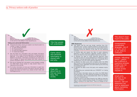#### $(iv)$ .  $\cos$

agreem<sub>e</sub> aurative fee crians become due and payaple immediately and will not be to the terms of any default notice issued by you.

#### Using your personal information

6. Personal information which you supply to us may be used in a number of ways, for example:

 $\sqrt{}$ 

- To make lending decisions
- For fraud prevention
- For audit and debt collection
- For statistical analysis
- (i) We may share your information with, and obtain information about you from, credit reference agencies or fraud prevention agencies. If you apply to us for insurance we will pass your details to the insurer. Information provided by you may be put onto a register of claims and shared with other insurers to prevent fraudulent claims. -
- (ii) We will not disclose any information to any company outside the XXXX Bank Group except to help prevent fraud, or if required to do so by law.
- (iii) For further information on how your information is used, how we maintain the security of your information, and your rights to access information we hold on you, please contact: (clear web link/freephone etc..)

#### Title that people will understand.

Clarity about who personal information is shared with and why.

Clear info about how to find out more. Easy, free access.

# 

agreem<sub>e</sub> ...Jurative fee Chais become due and payaple immediately and will not be to the terms of any default notice issued by you.

#### **DPA Statement** -

- 6. I/we agree that You and any lender resulting from this application (the "Lender") shall be entitled to use and process, by any medium, the information given by me/us which may be acquired during the lifetime of any loan for the following purposes:-
- (i) to provide data and search the files of credit reference agencies or fraud prevention agencies whether before or during the lifetime of any loan granted me/us by the Lender
- (ii) to disclose the data to credit reference agencies when required by them for future applications for finance by me/us or my/our financial associates unless I/we successfully file a disassociation with the credit reference agencies
- (iii) to disclose the data to any other company within the XXXX Bank Group or to any third party at any time for the purpose of assessing my/our application and administering and enforcing any subsequent loan
- (iv) to disclose the data to any third party who replaces my/our Lender

By submitting your personal data you CONSENT to it being processed.

We will share information about you within the XXXX Bank Group and also with other selected companies to provide you with information about products/services which we believe may be of interest to you.

Under the terms of the Data Protection Act 1998 you have the right to make a subject access request. All requests must be made in writing to our head office. There is a charge for this service.

If you do not wish to receive marketing information from XXXX Bank Group or other mpanies please inform your branch.

#### Title doesn't mean much to the public.

Unnecessarily complicated language. Use of I or me, we or us etc adds to confusion.

Unclear, `offputting'  $notice - seems$ like a difficult or expensive process. People may not know what a subject access request is.

#### Small print,

not easy to do (i.e. contact branch). Opt out statement not next to statement about marketing information.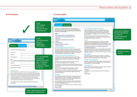#### Privacy notices code of practice 25

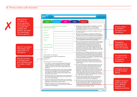#### 26 Privacy notices code of practice

| <b>Bad practice</b><br>to collect so<br>much personal     | Home<br><b>My account</b><br>Gifts                                                                                                                                                                                                                                                                                                                                                                                                                                                                                                           | <b>News</b><br><b>Contact us</b>                                                                                                                                                                                                                                                                                                                                                                                                                                                                                                                                                                                            |                                                                           |
|-----------------------------------------------------------|----------------------------------------------------------------------------------------------------------------------------------------------------------------------------------------------------------------------------------------------------------------------------------------------------------------------------------------------------------------------------------------------------------------------------------------------------------------------------------------------------------------------------------------------|-----------------------------------------------------------------------------------------------------------------------------------------------------------------------------------------------------------------------------------------------------------------------------------------------------------------------------------------------------------------------------------------------------------------------------------------------------------------------------------------------------------------------------------------------------------------------------------------------------------------------------|---------------------------------------------------------------------------|
| information just<br>to access the<br>website and          | To access our website you must provide the<br>following information                                                                                                                                                                                                                                                                                                                                                                                                                                                                          | 6. Retail Group Limited including its subsidiaries, associates<br>and affiliated companies ("we", "us") take security<br>of information very seriously and are committed to<br>protecting your privacy. -                                                                                                                                                                                                                                                                                                                                                                                                                   | Privacy policy<br>is buried in                                            |
| doesn't say what<br>the information                       | First name*<br>Surname*                                                                                                                                                                                                                                                                                                                                                                                                                                                                                                                      | 7. By using this website you accept the conditions set out in<br>this privacy policy.                                                                                                                                                                                                                                                                                                                                                                                                                                                                                                                                       | the terms and<br>conditions.                                              |
| will be used for.                                         | Email address*                                                                                                                                                                                                                                                                                                                                                                                                                                                                                                                               | We process personal data in accordance with the Data<br>Protection Acts of 1984 and 1998 and any other applicable<br>legislation (referred to as the "data protection legislation")                                                                                                                                                                                                                                                                                                                                                                                                                                         |                                                                           |
|                                                           | Date of birth*                                                                                                                                                                                                                                                                                                                                                                                                                                                                                                                               | 9. We can assure you that we will never pass on the personal<br>data of data subjects to any third party recipients other                                                                                                                                                                                                                                                                                                                                                                                                                                                                                                   |                                                                           |
| Asks for excessive<br>information and                     | Address*<br>Home phone number*<br>Mobile phone number*                                                                                                                                                                                                                                                                                                                                                                                                                                                                                       | than in accordance with the Terms set out below.<br>10. We may collect and process personal data for the purposes<br>of business operations. This could include: administration,<br>accounting and auditing, processing of your order,<br>marketing, analysis, monitoring, business planning etc,<br>in accordance with the notification requirements of the<br>Information Commissioner. We are registered with the<br>Information Commissioner's Office. Members of the Retail                                                                                                                                            | Misleading<br>guarantee that<br>information will<br>never be shared.      |
| states that it is<br>mandatory.                           | Profession*<br>Salary*<br>Fields marked * are mandatory                                                                                                                                                                                                                                                                                                                                                                                                                                                                                      | Group may record, use, exchange, analyse and assess any<br>relevant personal data.<br>11. We adhere to the Principles of data protection as set out in<br>the Data Protection Act 1998 and observe the conditions<br>relating to the fair and lawful processing of personal data.                                                                                                                                                                                                                                                                                                                                           |                                                                           |
| Should not have<br>to accept terms<br>and conditions just | By using this website I agree to the Retail terms<br>and conditions.<br>ACCEPT<br><b>Retail Group Terms and Conditions</b>                                                                                                                                                                                                                                                                                                                                                                                                                   | We may from time to time send you details of goods and<br>services, new products, special offers, competitions which<br>we think will be of interest to you.<br>12. By using this website you agree to the disclosure of<br>collected personal data to carefully selected third party<br>recipients for the purposes of advertising, marketing and                                                                                                                                                                                                                                                                          | No opportunity<br>to opt in or out<br>of receiving<br>marketing.          |
| to access a retail<br>site.                               | 1. This website is owned and operated by Retail Group Ltd<br>in conjunction with its subsidiaries XYXY Inc and BAAB<br>Company. All orders and purchases made through this<br>website are subject to these online shopping terms and<br>conditions.<br>2. Retail Group may without notice correct errors and update<br>information on this website. This may include information<br>on pricing and availability of stock. All prices listed on<br>this website are in pounds sterling and all charges will be<br>processed in this currency. | public relations.<br>13. Information held by the credit reference agencies is used<br>by us and others to help verify the identity of customers<br>and assess their ability to meet financial commitments.<br>Credit reference agencies may link the records of<br>financial associates who have entered into joint financial<br>obligations. Once linked this association means that each<br>record will be taken into account when assessed by us.<br>Further details about financial association, disassociation<br>and credit reference agencies are available by contacting<br>the credit reference agencies directly. | Unhelpful not to<br>provide contact<br>details.                           |
|                                                           | 3. Purchases made on this website, the use of this website and<br>these online retail terms and conditions are subject to the<br>laws of the United Kingdom.<br>4. Goods may only be purchased for lawful, non-commercial                                                                                                                                                                                                                                                                                                                    | 14. We shall process personal data that is considered to be<br>"sensitive personal data" only in accordance with the<br>requirements of the data protection legislation.                                                                                                                                                                                                                                                                                                                                                                                                                                                    |                                                                           |
|                                                           | purposes. In ordering items, you agree to pay for all charges<br>applicable on that purchase order as stated.<br>5. Only persons aged 18 or over may purchase from this<br>website. Items purchased cannot be delivered to addresses<br>outside the United Kingdom.                                                                                                                                                                                                                                                                          | 15. Should you wish to exercise your subject access rights as<br>set out in data protection legislation, please contact us on<br>087 [premium phone number] for details of fees and<br>a copy of our data subject access rights procedure. It is<br>a legal requirement of the Data Protection Act 1998 that<br>such requests must be made in writing.                                                                                                                                                                                                                                                                      | Subject access is<br>made to sound<br>like a difficult,<br>legalistic and |